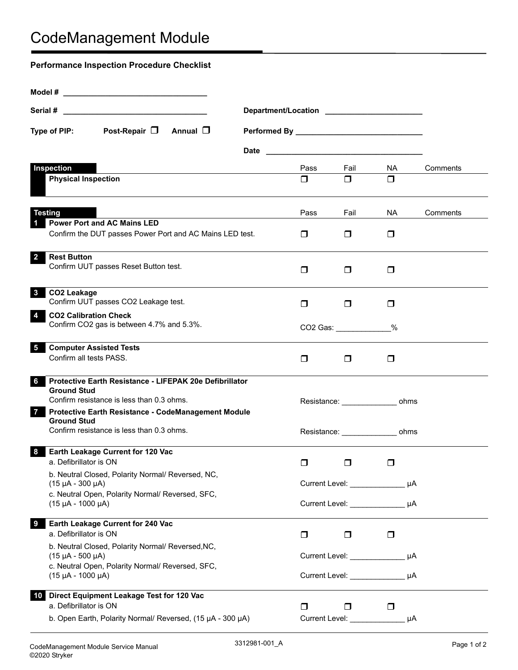## CodeManagement Module

| <b>Performance Inspection Procedure Checklist</b>                              |                                                |                                                                             |                  |                                     |          |  |
|--------------------------------------------------------------------------------|------------------------------------------------|-----------------------------------------------------------------------------|------------------|-------------------------------------|----------|--|
|                                                                                |                                                |                                                                             |                  |                                     |          |  |
|                                                                                |                                                |                                                                             |                  |                                     |          |  |
| Post-Repair $\Box$ Annual $\Box$<br>Type of PIP:                               | Performed By _________________________________ |                                                                             |                  |                                     |          |  |
|                                                                                |                                                |                                                                             |                  |                                     |          |  |
| Inspection                                                                     |                                                | Pass                                                                        | Fail             | <b>NA</b>                           | Comments |  |
| <b>Physical Inspection</b>                                                     |                                                | $\Box$                                                                      | $\Box$           | $\Box$                              |          |  |
| <b>Testing</b>                                                                 |                                                | Pass                                                                        | Fail             | NA.                                 | Comments |  |
| <b>Power Port and AC Mains LED</b><br>$\mathbf 1$                              |                                                |                                                                             |                  |                                     |          |  |
| Confirm the DUT passes Power Port and AC Mains LED test.                       |                                                | $\Box$                                                                      | $\Box$           | $\Box$                              |          |  |
| <b>Rest Button</b><br>$\overline{2}$<br>Confirm UUT passes Reset Button test.  |                                                | $\Box$                                                                      | $\Box$           | $\Box$                              |          |  |
|                                                                                |                                                |                                                                             |                  |                                     |          |  |
| CO2 Leakage<br>3<br>Confirm UUT passes CO2 Leakage test.                       |                                                | $\Box$                                                                      | $\Box$           | $\Box$                              |          |  |
| <b>CO2 Calibration Check</b><br>4<br>Confirm CO2 gas is between 4.7% and 5.3%. |                                                | CO2 Gas: %                                                                  |                  |                                     |          |  |
| <b>Computer Assisted Tests</b><br>5                                            |                                                |                                                                             |                  |                                     |          |  |
| Confirm all tests PASS.                                                        |                                                | $\Box$                                                                      | $\Box$           | $\Box$                              |          |  |
| Protective Earth Resistance - LIFEPAK 20e Defibrillator<br>6.                  |                                                |                                                                             |                  |                                     |          |  |
| <b>Ground Stud</b><br>Confirm resistance is less than 0.3 ohms.                |                                                |                                                                             | Resistance: ohms |                                     |          |  |
| Protective Earth Resistance - CodeManagement Module<br>7<br><b>Ground Stud</b> |                                                |                                                                             |                  |                                     |          |  |
| Confirm resistance is less than 0.3 ohms.                                      |                                                | Resistance: _________________ ohms                                          |                  |                                     |          |  |
| Earth Leakage Current for 120 Vac<br>8<br>a. Defibrillator is ON               |                                                | $\Box$                                                                      | $\Box$           | $\Box$                              |          |  |
| b. Neutral Closed, Polarity Normal/ Reversed, NC,                              |                                                | Current Level: _________________ µA<br>Current Level: UA                    |                  |                                     |          |  |
| $(15 \mu A - 300 \mu A)$<br>c. Neutral Open, Polarity Normal/ Reversed, SFC,   |                                                |                                                                             |                  |                                     |          |  |
| $(15 \mu A - 1000 \mu A)$                                                      |                                                |                                                                             |                  |                                     |          |  |
| Earth Leakage Current for 240 Vac<br>9<br>a. Defibrillator is ON               |                                                | $\Box$                                                                      | $\Box$           | $\Box$                              |          |  |
| b. Neutral Closed, Polarity Normal/ Reversed, NC,<br>$(15 \mu A - 500 \mu A)$  |                                                | Current Level: _________________ µA<br>Current Level: __________________ µA |                  |                                     |          |  |
| c. Neutral Open, Polarity Normal/ Reversed, SFC,<br>$(15 \mu A - 1000 \mu A)$  |                                                |                                                                             |                  |                                     |          |  |
|                                                                                |                                                |                                                                             |                  |                                     |          |  |
| Direct Equipment Leakage Test for 120 Vac<br>10<br>a. Defibrillator is ON      |                                                | $\Box$                                                                      | ⊓                | $\Box$                              |          |  |
| b. Open Earth, Polarity Normal/ Reversed, (15 µA - 300 µA)                     |                                                |                                                                             |                  | Current Level: _________________ µA |          |  |